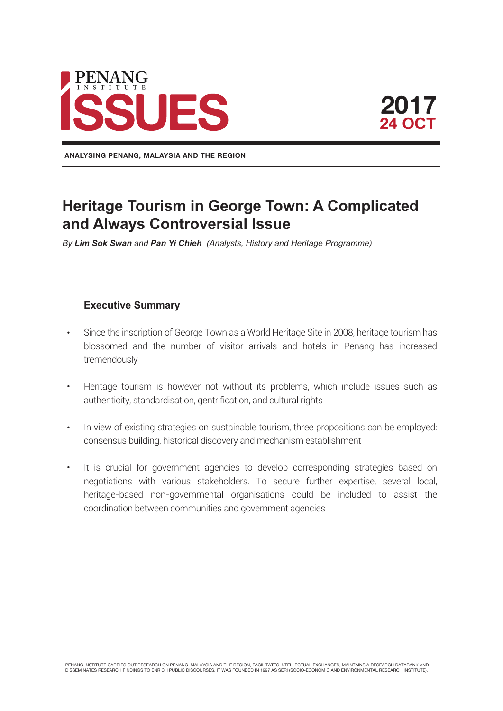

**ANALYSING PENANG, MALAYSIA AND THE REGION**

# **Heritage Tourism in George Town: A Complicated and Always Controversial Issue**

*By Lim Sok Swan and Pan Yi Chieh (Analysts, History and Heritage Programme)*

#### **Executive Summary**

- Since the inscription of George Town as a World Heritage Site in 2008, heritage tourism has blossomed and the number of visitor arrivals and hotels in Penang has increased tremendously
- Heritage tourism is however not without its problems, which include issues such as authenticity, standardisation, gentrification, and cultural rights
- In view of existing strategies on sustainable tourism, three propositions can be employed: consensus building, historical discovery and mechanism establishment
- It is crucial for government agencies to develop corresponding strategies based on negotiations with various stakeholders. To secure further expertise, several local, heritage-based non-governmental organisations could be included to assist the coordination between communities and government agencies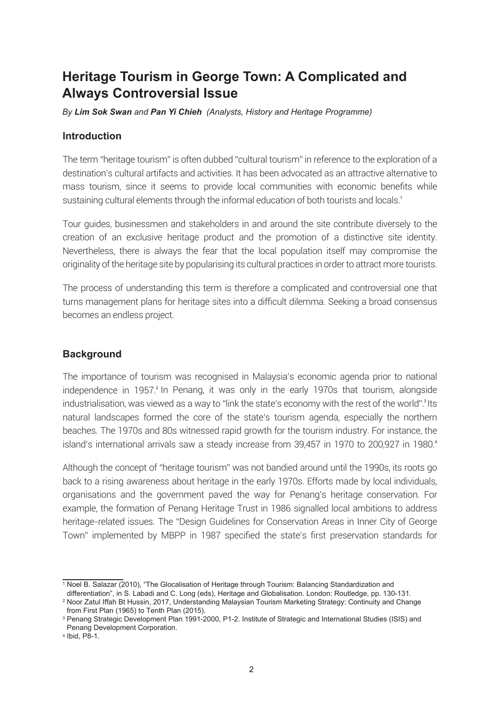## **Heritage Tourism in George Town: A Complicated and Always Controversial Issue**

*By Lim Sok Swan and Pan Yi Chieh (Analysts, History and Heritage Programme)*

#### **Introduction**

The term "heritage tourism" is often dubbed "cultural tourism" in reference to the exploration of a destination's cultural artifacts and activities. It has been advocated as an attractive alternative to mass tourism, since it seems to provide local communities with economic benefits while sustaining cultural elements through the informal education of both tourists and locals.<sup>1</sup>

Tour guides, businessmen and stakeholders in and around the site contribute diversely to the creation of an exclusive heritage product and the promotion of a distinctive site identity. Nevertheless, there is always the fear that the local population itself may compromise the originality of the heritage site by popularising its cultural practices in order to attract more tourists.

The process of understanding this term is therefore a complicated and controversial one that turns management plans for heritage sites into a difficult dilemma. Seeking a broad consensus becomes an endless project.

## **Background**

The importance of tourism was recognised in Malaysia's economic agenda prior to national independence in 1957.<sup>2</sup> In Penang, it was only in the early 1970s that tourism, alongside industrialisation, was viewed as a way to "link the state's economy with the rest of the world".<sup>3</sup> Its natural landscapes formed the core of the state's tourism agenda, especially the northern beaches. The 1970s and 80s witnessed rapid growth for the tourism industry. For instance, the island's international arrivals saw a steady increase from 39,457 in 1970 to 200,927 in 1980.<sup>4</sup>

Although the concept of "heritage tourism" was not bandied around until the 1990s, its roots go back to a rising awareness about heritage in the early 1970s. Efforts made by local individuals, organisations and the government paved the way for Penang's heritage conservation. For example, the formation of Penang Heritage Trust in 1986 signalled local ambitions to address heritage-related issues. The "Design Guidelines for Conservation Areas in Inner City of George Town" implemented by MBPP in 1987 specified the state's first preservation standards for

<sup>1</sup> Noel B. Salazar (2010), "The Glocalisation of Heritage through Tourism: Balancing Standardization and

differentiation", in S. Labadi and C. Long (eds), Heritage and Globalisation. London: Routledge, pp. 130-131.

<sup>2</sup> Noor Zatul Iffah Bt Hussin, 2017, Understanding Malaysian Tourism Marketing Strategy: Continuity and Change from First Plan (1965) to Tenth Plan (2015).

<sup>3</sup> Penang Strategic Development Plan 1991-2000, P1-2. Institute of Strategic and International Studies (ISIS) and Penang Development Corporation.

<sup>4</sup> Ibid, P8-1.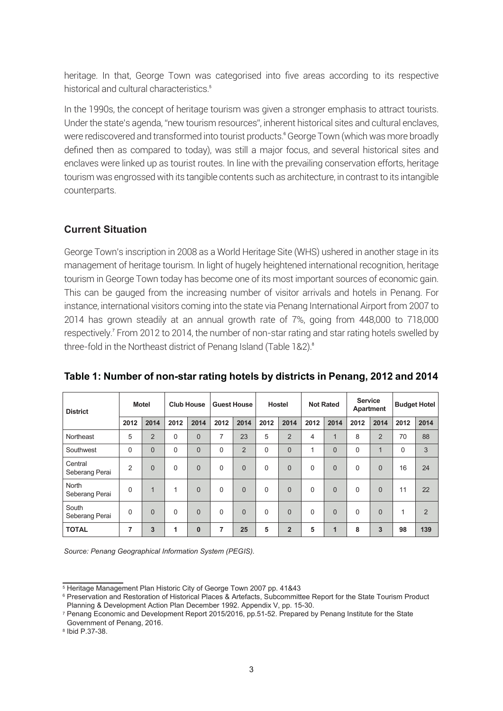heritage. In that, George Town was categorised into five areas according to its respective historical and cultural characteristics.<sup>5</sup>

In the 1990s, the concept of heritage tourism was given a stronger emphasis to attract tourists. Under the state's agenda, "new tourism resources", inherent historical sites and cultural enclaves, were rediscovered and transformed into tourist products.® George Town (which was more broadly defined then as compared to today), was still a major focus, and several historical sites and enclaves were linked up as tourist routes. In line with the prevailing conservation efforts, heritage tourism was engrossed with its tangible contents such as architecture, in contrast to its intangible counterparts.

## **Current Situation**

George Town's inscription in 2008 as a World Heritage Site (WHS) ushered in another stage in its management of heritage tourism. In light of hugely heightened international recognition, heritage tourism in George Town today has become one of its most important sources of economic gain. This can be gauged from the increasing number of visitor arrivals and hotels in Penang. For instance, international visitors coming into the state via Penang International Airport from 2007 to 2014 has grown steadily at an annual growth rate of 7%, going from 448,000 to 718,000 respectively.<sup>7</sup> From 2012 to 2014, the number of non-star rating and star rating hotels swelled by three-fold in the Northeast district of Penang Island (Table 1&2).<sup>8</sup>

| <b>District</b>           | <b>Motel</b>   |                | <b>Club House</b> |                | <b>Guest House</b> |                | Hostel      |                | <b>Not Rated</b> |                | <b>Service</b><br>Apartment |                | <b>Budget Hotel</b> |                |
|---------------------------|----------------|----------------|-------------------|----------------|--------------------|----------------|-------------|----------------|------------------|----------------|-----------------------------|----------------|---------------------|----------------|
|                           | 2012           | 2014           | 2012              | 2014           | 2012               | 2014           | 2012        | 2014           | 2012             | 2014           | 2012                        | 2014           | 2012                | 2014           |
| Northeast                 | 5              | $\overline{2}$ | $\mathbf 0$       | $\overline{0}$ | 7                  | 23             | 5           | $\overline{2}$ | 4                | $\overline{1}$ | 8                           | $\overline{2}$ | 70                  | 88             |
| Southwest                 | $\mathbf{0}$   | $\overline{0}$ | $\mathbf 0$       | $\overline{0}$ | $\Omega$           | $\overline{2}$ | $\Omega$    | $\overline{0}$ | и                | $\overline{0}$ | 0                           | $\mathbf{1}$   | $\Omega$            | 3              |
| Central<br>Seberang Perai | $\overline{2}$ | $\Omega$       | 0                 | $\overline{0}$ | $\Omega$           | $\overline{0}$ | $\mathbf 0$ | $\overline{0}$ | $\Omega$         | $\Omega$       | $\Omega$                    | $\Omega$       | 16                  | 24             |
| North<br>Seberang Perai   | $\mathbf{0}$   | $\mathbf{1}$   | 1                 | $\overline{0}$ | $\Omega$           | $\overline{0}$ | $\Omega$    | $\overline{0}$ | $\Omega$         | $\overline{0}$ | $\Omega$                    | $\Omega$       | 11                  | 22             |
| South<br>Seberang Perai   | $\Omega$       | $\Omega$       | 0                 | $\overline{0}$ | $\Omega$           | $\overline{0}$ | $\Omega$    | $\Omega$       | $\Omega$         | $\Omega$       | $\Omega$                    | $\Omega$       | 1                   | $\overline{2}$ |
| <b>TOTAL</b>              | 7              | 3              | 1                 | $\bf{0}$       | 7                  | 25             | 5           | $\overline{2}$ | 5                | $\mathbf{1}$   | 8                           | 3              | 98                  | 139            |

**Table 1: Number of non-star rating hotels by districts in Penang, 2012 and 2014**

*Source: Penang Geographical Information System (PEGIS).*

8 Ibid P.37-38.

<sup>5</sup> Heritage Management Plan Historic City of George Town 2007 pp. 41&43

<sup>6</sup> Preservation and Restoration of Historical Places & Artefacts, Subcommittee Report for the State Tourism Product Planning & Development Action Plan December 1992. Appendix V, pp. 15-30.

<sup>7</sup> Penang Economic and Development Report 2015/2016, pp.51-52. Prepared by Penang Institute for the State Government of Penang, 2016.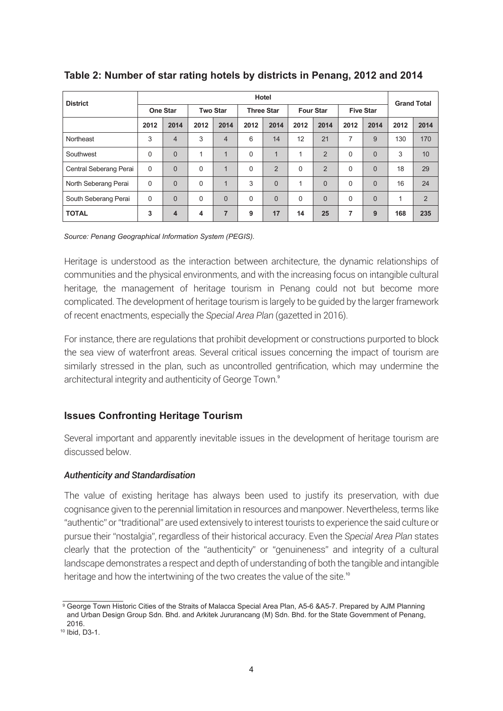| <b>District</b>        | Hotel           |                |                 |                |                   |                |                  |                |                  |                |      | <b>Grand Total</b> |  |
|------------------------|-----------------|----------------|-----------------|----------------|-------------------|----------------|------------------|----------------|------------------|----------------|------|--------------------|--|
|                        | <b>One Star</b> |                | <b>Two Star</b> |                | <b>Three Star</b> |                | <b>Four Star</b> |                | <b>Five Star</b> |                |      |                    |  |
|                        | 2012            | 2014           | 2012            | 2014           | 2012              | 2014           | 2012             | 2014           | 2012             | 2014           | 2012 | 2014               |  |
| Northeast              | 3               | $\overline{4}$ | 3               | $\overline{4}$ | 6                 | 14             | 12               | 21             | 7                | 9              | 130  | 170                |  |
| Southwest              | $\Omega$        | $\Omega$       | 1               | $\overline{1}$ | $\Omega$          | 1              | 1                | $\overline{2}$ | $\Omega$         | $\Omega$       | 3    | 10 <sup>°</sup>    |  |
| Central Seberang Perai | $\Omega$        | $\Omega$       | $\Omega$        | $\mathbf 1$    | $\Omega$          | $\overline{2}$ | $\Omega$         | $\overline{2}$ | $\Omega$         | $\Omega$       | 18   | 29                 |  |
| North Seberang Perai   | 0               | $\Omega$       | $\Omega$        | $\mathbf 1$    | 3                 | $\Omega$       |                  | $\mathbf{0}$   | $\Omega$         | $\overline{0}$ | 16   | 24                 |  |
| South Seberang Perai   | $\Omega$        | $\Omega$       | $\Omega$        | $\Omega$       | $\Omega$          | $\Omega$       | $\Omega$         | $\Omega$       | $\Omega$         | $\Omega$       | 1    | 2                  |  |
| <b>TOTAL</b>           | 3               | $\overline{4}$ | 4               | $\overline{7}$ | 9                 | 17             | 14               | 25             | 7                | 9              | 168  | 235                |  |

## **Table 2: Number of star rating hotels by districts in Penang, 2012 and 2014**

*Source: Penang Geographical Information System (PEGIS).*

Heritage is understood as the interaction between architecture, the dynamic relationships of communities and the physical environments, and with the increasing focus on intangible cultural heritage, the management of heritage tourism in Penang could not but become more complicated. The development of heritage tourism is largely to be guided by the larger framework of recent enactments, especially the *Special Area Plan* (gazetted in 2016).

For instance, there are regulations that prohibit development or constructions purported to block the sea view of waterfront areas. Several critical issues concerning the impact of tourism are similarly stressed in the plan, such as uncontrolled gentrification, which may undermine the architectural integrity and authenticity of George Town.<sup>9</sup>

## **Issues Confronting Heritage Tourism**

Several important and apparently inevitable issues in the development of heritage tourism are discussed below.

#### *Authenticity and Standardisation*

The value of existing heritage has always been used to justify its preservation, with due cognisance given to the perennial limitation in resources and manpower. Nevertheless, terms like "authentic" or "traditional" are used extensively to interest tourists to experience the said culture or pursue their "nostalgia", regardless of their historical accuracy. Even the *Special Area Plan* states clearly that the protection of the "authenticity" or "genuineness" and integrity of a cultural landscape demonstrates a respect and depth of understanding of both the tangible and intangible heritage and how the intertwining of the two creates the value of the site.<sup>10</sup>

<sup>9</sup> George Town Historic Cities of the Straits of Malacca Special Area Plan, A5-6 &A5-7. Prepared by AJM Planning and Urban Design Group Sdn. Bhd. and Arkitek Jururancang (M) Sdn. Bhd. for the State Government of Penang, 2016.

<sup>10</sup> Ibid, D3-1.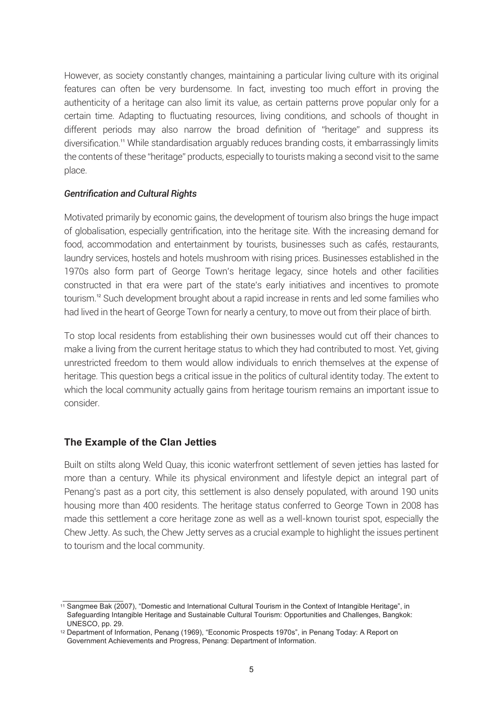However, as society constantly changes, maintaining a particular living culture with its original features can often be very burdensome. In fact, investing too much effort in proving the authenticity of a heritage can also limit its value, as certain patterns prove popular only for a certain time. Adapting to fluctuating resources, living conditions, and schools of thought in different periods may also narrow the broad definition of "heritage" and suppress its diversification.<sup>11</sup> While standardisation arguably reduces branding costs, it embarrassingly limits the contents of these "heritage" products, especially to tourists making a second visit to the same place.

#### *Gentrification and Cultural Rights*

Motivated primarily by economic gains, the development of tourism also brings the huge impact of globalisation, especially gentrification, into the heritage site. With the increasing demand for food, accommodation and entertainment by tourists, businesses such as cafés, restaurants, laundry services, hostels and hotels mushroom with rising prices. Businesses established in the 1970s also form part of George Town's heritage legacy, since hotels and other facilities constructed in that era were part of the state's early initiatives and incentives to promote tourism.<sup>12</sup> Such development brought about a rapid increase in rents and led some families who had lived in the heart of George Town for nearly a century, to move out from their place of birth.

To stop local residents from establishing their own businesses would cut off their chances to make a living from the current heritage status to which they had contributed to most. Yet, giving unrestricted freedom to them would allow individuals to enrich themselves at the expense of heritage. This question begs a critical issue in the politics of cultural identity today. The extent to which the local community actually gains from heritage tourism remains an important issue to consider.

#### **The Example of the Clan Jetties**

Built on stilts along Weld Quay, this iconic waterfront settlement of seven jetties has lasted for more than a century. While its physical environment and lifestyle depict an integral part of Penang's past as a port city, this settlement is also densely populated, with around 190 units housing more than 400 residents. The heritage status conferred to George Town in 2008 has made this settlement a core heritage zone as well as a well-known tourist spot, especially the Chew Jetty. As such, the Chew Jetty serves as a crucial example to highlight the issues pertinent to tourism and the local community.

<sup>11</sup> Sangmee Bak (2007), "Domestic and International Cultural Tourism in the Context of Intangible Heritage", in Safeguarding Intangible Heritage and Sustainable Cultural Tourism: Opportunities and Challenges, Bangkok: UNESCO, pp. 29.

<sup>12</sup> Department of Information, Penang (1969), "Economic Prospects 1970s", in Penang Today: A Report on Government Achievements and Progress, Penang: Department of Information.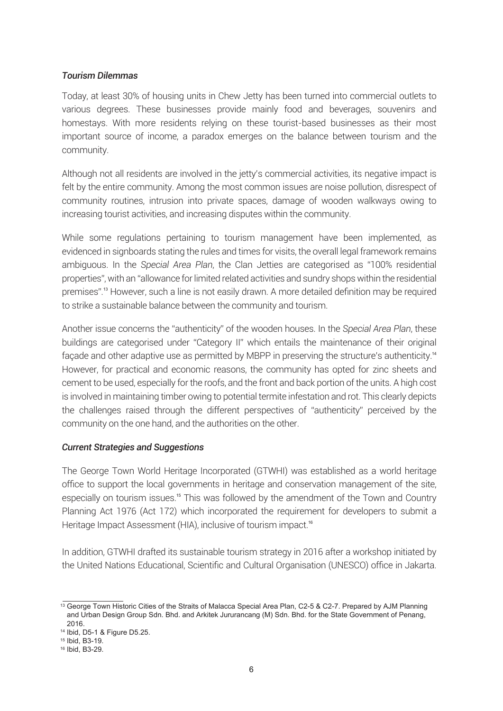#### *Tourism Dilemmas*

Today, at least 30% of housing units in Chew Jetty has been turned into commercial outlets to various degrees. These businesses provide mainly food and beverages, souvenirs and homestays. With more residents relying on these tourist-based businesses as their most important source of income, a paradox emerges on the balance between tourism and the community.

Although not all residents are involved in the jetty's commercial activities, its negative impact is felt by the entire community. Among the most common issues are noise pollution, disrespect of community routines, intrusion into private spaces, damage of wooden walkways owing to increasing tourist activities, and increasing disputes within the community.

While some regulations pertaining to tourism management have been implemented, as evidenced in signboards stating the rules and times for visits, the overall legal framework remains ambiguous. In the *Special Area Plan*, the Clan Jetties are categorised as "100% residential properties", with an "allowance for limited related activities and sundry shops within the residential premises".<sup>13</sup> However, such a line is not easily drawn. A more detailed definition may be required to strike a sustainable balance between the community and tourism.

Another issue concerns the "authenticity" of the wooden houses. In the *Special Area Plan*, these buildings are categorised under "Category II" which entails the maintenance of their original facade and other adaptive use as permitted by MBPP in preserving the structure's authenticity.<sup>14</sup> However, for practical and economic reasons, the community has opted for zinc sheets and cement to be used, especially for the roofs, and the front and back portion of the units. A high cost is involved in maintaining timber owing to potential termite infestation and rot. This clearly depicts the challenges raised through the different perspectives of "authenticity" perceived by the community on the one hand, and the authorities on the other.

#### *Current Strategies and Suggestions*

The George Town World Heritage Incorporated (GTWHI) was established as a world heritage office to support the local governments in heritage and conservation management of the site, especially on tourism issues.<sup>15</sup> This was followed by the amendment of the Town and Country Planning Act 1976 (Act 172) which incorporated the requirement for developers to submit a Heritage Impact Assessment (HIA), inclusive of tourism impact.<sup>16</sup>

In addition, GTWHI drafted its sustainable tourism strategy in 2016 after a workshop initiated by the United Nations Educational, Scientific and Cultural Organisation (UNESCO) office in Jakarta.

<sup>13</sup> George Town Historic Cities of the Straits of Malacca Special Area Plan, C2-5 & C2-7. Prepared by AJM Planning and Urban Design Group Sdn. Bhd. and Arkitek Jururancang (M) Sdn. Bhd. for the State Government of Penang, 2016.

<sup>14</sup> Ibid, D5-1 & Figure D5.25.

<sup>15</sup> Ibid, B3-19.

<sup>16</sup> Ibid, B3-29.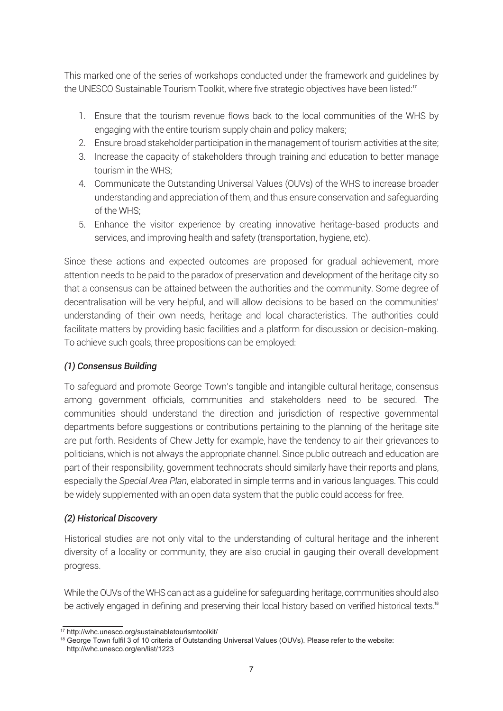This marked one of the series of workshops conducted under the framework and guidelines by the UNESCO Sustainable Tourism Toolkit, where five strategic objectives have been listed:<sup>17</sup>

- 1. Ensure that the tourism revenue flows back to the local communities of the WHS by engaging with the entire tourism supply chain and policy makers;
- 2. Ensure broad stakeholder participation in the management of tourism activities at the site;
- 3. Increase the capacity of stakeholders through training and education to better manage tourism in the WHS;
- 4. Communicate the Outstanding Universal Values (OUVs) of the WHS to increase broader understanding and appreciation of them, and thus ensure conservation and safeguarding of the WHS;
- 5. Enhance the visitor experience by creating innovative heritage-based products and services, and improving health and safety (transportation, hygiene, etc).

Since these actions and expected outcomes are proposed for gradual achievement, more attention needs to be paid to the paradox of preservation and development of the heritage city so that a consensus can be attained between the authorities and the community. Some degree of decentralisation will be very helpful, and will allow decisions to be based on the communities' understanding of their own needs, heritage and local characteristics. The authorities could facilitate matters by providing basic facilities and a platform for discussion or decision-making. To achieve such goals, three propositions can be employed:

## *(1) Consensus Building*

To safeguard and promote George Town's tangible and intangible cultural heritage, consensus among government officials, communities and stakeholders need to be secured. The communities should understand the direction and jurisdiction of respective governmental departments before suggestions or contributions pertaining to the planning of the heritage site are put forth. Residents of Chew Jetty for example, have the tendency to air their grievances to politicians, which is not always the appropriate channel. Since public outreach and education are part of their responsibility, government technocrats should similarly have their reports and plans, especially the *Special Area Plan*, elaborated in simple terms and in various languages. This could be widely supplemented with an open data system that the public could access for free.

## *(2) Historical Discovery*

Historical studies are not only vital to the understanding of cultural heritage and the inherent diversity of a locality or community, they are also crucial in gauging their overall development progress.

While the OUVs of the WHS can act as a guideline for safeguarding heritage, communities should also be actively engaged in defining and preserving their local history based on verified historical texts.<sup>18</sup>

<sup>17</sup> http://whc.unesco.org/sustainabletourismtoolkit/

<sup>&</sup>lt;sup>18</sup> George Town fulfil 3 of 10 criteria of Outstanding Universal Values (OUVs). Please refer to the website: http://whc.unesco.org/en/list/1223